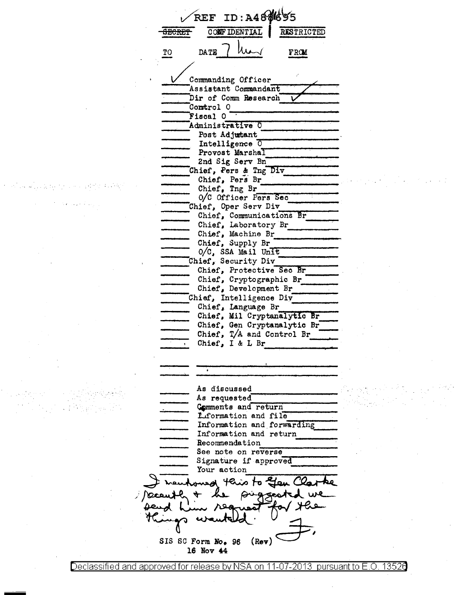$t$ <sup>REF</sup> ID : A4  $8$  $8$  $6$  $95$ <br> $\overline{\text{SECRET}}$   $\overline{\text{COMF}$  DENTIAL RESTRICTED  $\frac{10}{20}$  DATE  $\frac{1}{2}$  Muss FROM U Commanding Officer<br>Assistant Commandant ----.Dir of Comm Research *v*  ---Control o ------ Fiscal O Administrative 0 Post Adjutant. Intelligence  $\overline{0}$ Provost Marshal<br>2nd Sig Serv Bn<br>Chief, Pers & Tng Div Provost Marshall<br>2nd Sig Serv Bn End Sig Serv Branch<br>Chief, Pers & Tn<br>Chief, Pers Br Chief, Pers Br<br>Chief, Tng Br<br>O/C Officer Pers Sec. Chief, Oper Serv Div --- Chief, Communica ti\_o\_n\_s"""B\_r \_\_\_ \_ Chief, Communications Br<br>Chief, Laboratory Br<br>Chief, Machine Br<br>Chief, Supply Br  $\frac{r}{r}$  Br Chief, Laboratory Br Chief, Machine Br<br>Chief, Supply Br<br>O/C, SSA Mail Unit Chief, Security Div<br>--- Chief, Protective Sec Br Chief, Cryptographic Br<br>Chief, Development Br Chief, Intelligence Div ------<br>
------ Chief, Language Br -------- Chief, Mil Cryptanalytic Br Chief, Gen Cryptanalytic Br Chief, Gen Cryptanalytic Br<br>Chief, T/A and Control Br  $\frac{1}{\sqrt{1-\frac{1}{\sqrt{1-\frac{1}{\sqrt{1-\frac{1}{\sqrt{1-\frac{1}{\sqrt{1-\frac{1}{\sqrt{1-\frac{1}{\sqrt{1-\frac{1}{\sqrt{1-\frac{1}{\sqrt{1-\frac{1}{\sqrt{1-\frac{1}{\sqrt{1-\frac{1}{\sqrt{1-\frac{1}{\sqrt{1-\frac{1}{\sqrt{1-\frac{1}{\sqrt{1-\frac{1}{\sqrt{1-\frac{1}{\sqrt{1-\frac{1}{\sqrt{1-\frac{1}{\sqrt{1-\frac{1}{\sqrt{1-\frac{1}{\sqrt{1-\frac{1}{\sqrt{1-\frac{1}{\sqrt{1-\frac{1}{\sqrt{1-\frac{1$ Chief, I & L Br ÷. As discussed As requested Comments and return Liformation and file Information and forwarding Information and return Recommendation See note on reverse Signature if approved Your action nest of aiot ken puggest لاتحصينا SIS SC Form No. 96  $($ Rev $)$ 16 Nov 44

-

Declassified and approved for release by NSA on 11-07-2013  $\,$  pursuant to E.O. 1352 $6$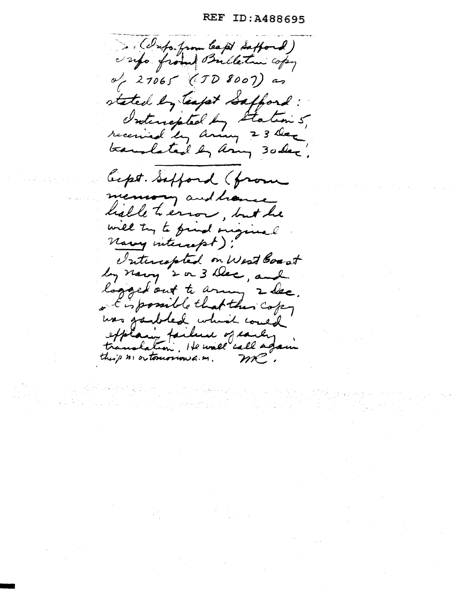REF ID:A488695

. (Info from leapt Safford) Tapo from Bulleton copy  $\sim$  27065 (TD 8007) as stated by teapt Safford: Interrepted by Station 5, translated by any 30 dec. Cept. Safford (from mension and have halle terror, but he will try to find original Narry intercept); Intercapted on West Boart by navy 2 or 3 Dec, and logged out to army 2 dec. a Eispossible that this copy was garbled which could explain faileese of carly this is ortonorious . m.  $m$ .

-